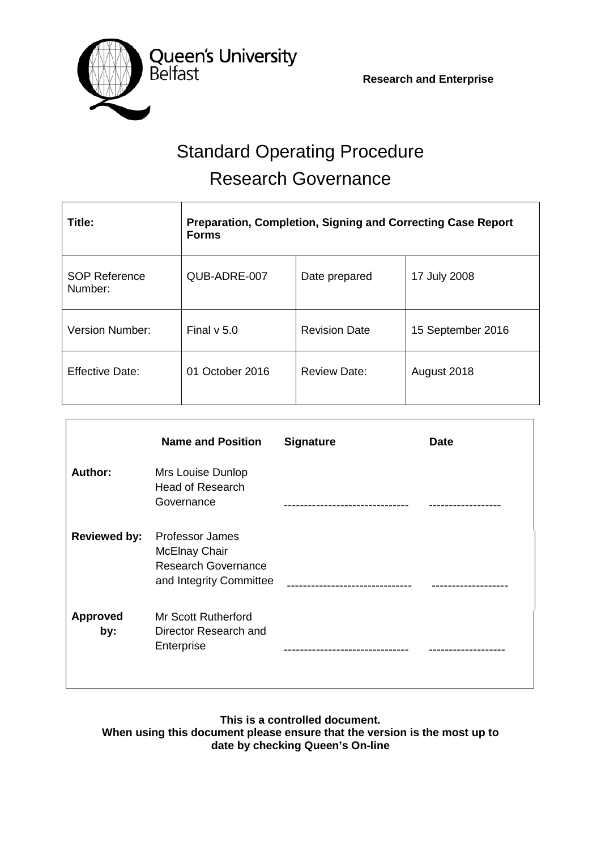**Research and Enterprise**



# Standard Operating Procedure Research Governance

| Title:                          | <b>Preparation, Completion, Signing and Correcting Case Report</b><br><b>Forms</b> |                      |                   |  |
|---------------------------------|------------------------------------------------------------------------------------|----------------------|-------------------|--|
| <b>SOP Reference</b><br>Number: | QUB-ADRE-007                                                                       | Date prepared        | 17 July 2008      |  |
| <b>Version Number:</b>          | Final $v$ 5.0                                                                      | <b>Revision Date</b> | 15 September 2016 |  |
| <b>Effective Date:</b>          | 01 October 2016                                                                    | <b>Review Date:</b>  | August 2018       |  |

|                        | <b>Name and Position</b>                                                                                | <b>Signature</b> | <b>Date</b> |
|------------------------|---------------------------------------------------------------------------------------------------------|------------------|-------------|
| Author:                | Mrs Louise Dunlop<br>Head of Research<br>Governance                                                     |                  |             |
| <b>Reviewed by:</b>    | <b>Professor James</b><br><b>McElnay Chair</b><br><b>Research Governance</b><br>and Integrity Committee |                  |             |
| <b>Approved</b><br>by: | <b>Mr Scott Rutherford</b><br>Director Research and<br>Enterprise                                       |                  |             |

**This is a controlled document. When using this document please ensure that the version is the most up to date by checking Queen's On-line**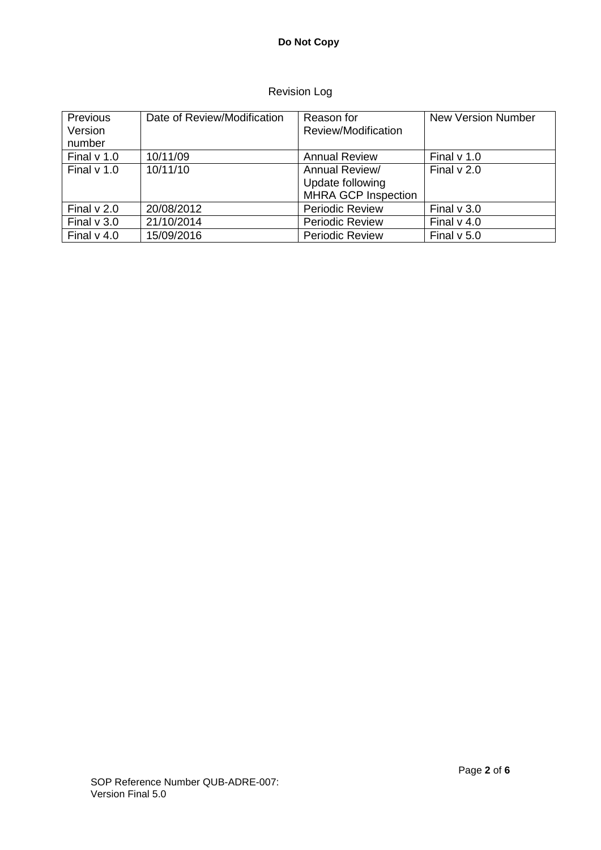## Revision Log

| Previous<br>Version<br>number | Date of Review/Modification | Reason for<br>Review/Modification                                | <b>New Version Number</b> |
|-------------------------------|-----------------------------|------------------------------------------------------------------|---------------------------|
| Final $v$ 1.0                 | 10/11/09                    | <b>Annual Review</b>                                             | Final $v$ 1.0             |
| Final $v$ 1.0                 | 10/11/10                    | Annual Review/<br>Update following<br><b>MHRA GCP Inspection</b> | Final $v$ 2.0             |
| Final $v$ 2.0                 | 20/08/2012                  | <b>Periodic Review</b>                                           | Final $v$ 3.0             |
| Final $v$ 3.0                 | 21/10/2014                  | <b>Periodic Review</b>                                           | Final $v$ 4.0             |
| Final $v$ 4.0                 | 15/09/2016                  | <b>Periodic Review</b>                                           | Final $v$ 5.0             |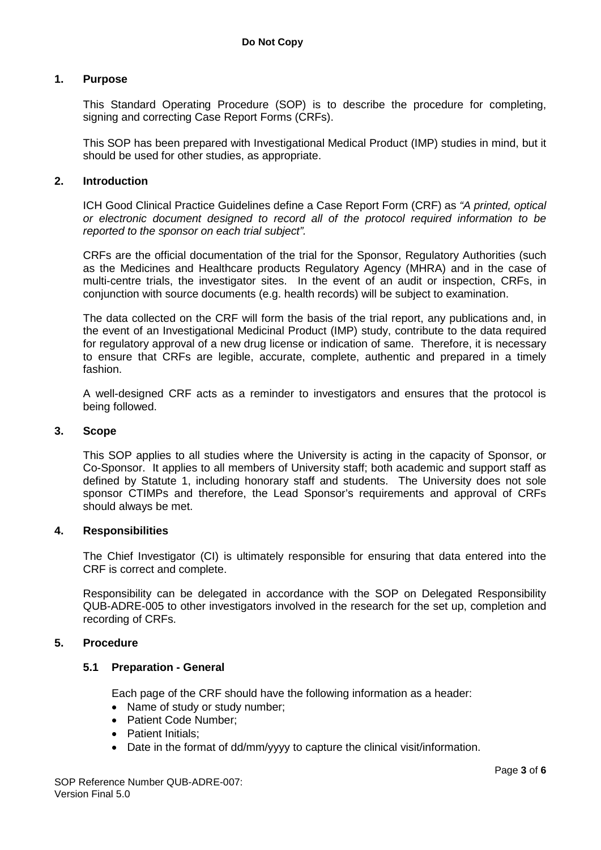## **1. Purpose**

This Standard Operating Procedure (SOP) is to describe the procedure for completing, signing and correcting Case Report Forms (CRFs).

This SOP has been prepared with Investigational Medical Product (IMP) studies in mind, but it should be used for other studies, as appropriate.

#### **2. Introduction**

ICH Good Clinical Practice Guidelines define a Case Report Form (CRF) as *"A printed, optical or electronic document designed to record all of the protocol required information to be reported to the sponsor on each trial subject".*

CRFs are the official documentation of the trial for the Sponsor, Regulatory Authorities (such as the Medicines and Healthcare products Regulatory Agency (MHRA) and in the case of multi-centre trials, the investigator sites. In the event of an audit or inspection, CRFs, in conjunction with source documents (e.g. health records) will be subject to examination.

The data collected on the CRF will form the basis of the trial report, any publications and, in the event of an Investigational Medicinal Product (IMP) study, contribute to the data required for regulatory approval of a new drug license or indication of same. Therefore, it is necessary to ensure that CRFs are legible, accurate, complete, authentic and prepared in a timely fashion.

A well-designed CRF acts as a reminder to investigators and ensures that the protocol is being followed.

#### **3. Scope**

This SOP applies to all studies where the University is acting in the capacity of Sponsor, or Co-Sponsor. It applies to all members of University staff; both academic and support staff as defined by Statute 1, including honorary staff and students. The University does not sole sponsor CTIMPs and therefore, the Lead Sponsor's requirements and approval of CRFs should always be met.

#### **4. Responsibilities**

The Chief Investigator (CI) is ultimately responsible for ensuring that data entered into the CRF is correct and complete.

Responsibility can be delegated in accordance with the SOP on Delegated Responsibility QUB-ADRE-005 to other investigators involved in the research for the set up, completion and recording of CRFs.

#### **5. Procedure**

#### **5.1 Preparation - General**

Each page of the CRF should have the following information as a header:

- Name of study or study number;
- Patient Code Number:
- Patient Initials;
- Date in the format of dd/mm/vyyy to capture the clinical visit/information.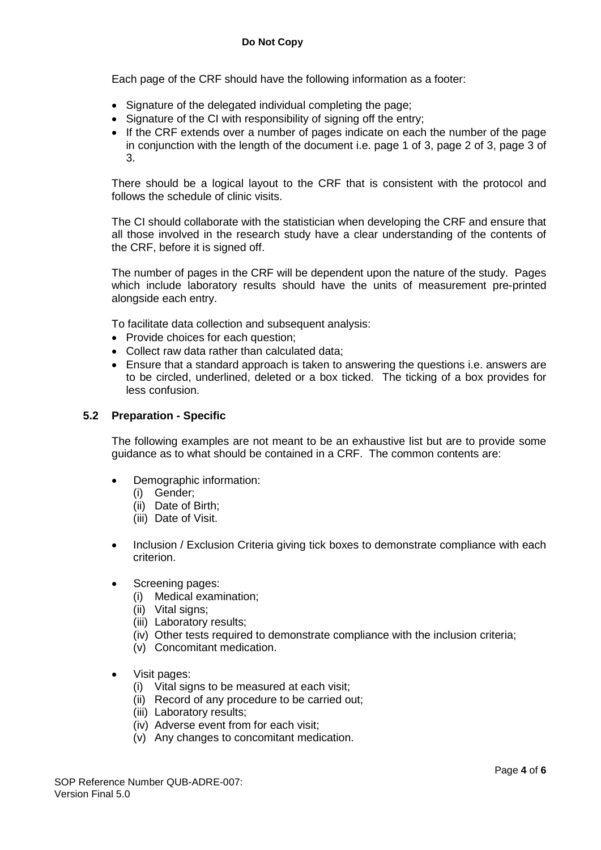Each page of the CRF should have the following information as a footer:

- Signature of the delegated individual completing the page;
- Signature of the CI with responsibility of signing off the entry:
- If the CRF extends over a number of pages indicate on each the number of the page in conjunction with the length of the document i.e. page 1 of 3, page 2 of 3, page 3 of 3.

There should be a logical layout to the CRF that is consistent with the protocol and follows the schedule of clinic visits.

The CI should collaborate with the statistician when developing the CRF and ensure that all those involved in the research study have a clear understanding of the contents of the CRF, before it is signed off.

The number of pages in the CRF will be dependent upon the nature of the study. Pages which include laboratory results should have the units of measurement pre-printed alongside each entry.

To facilitate data collection and subsequent analysis:

- Provide choices for each question;
- Collect raw data rather than calculated data;
- Ensure that a standard approach is taken to answering the questions i.e. answers are to be circled, underlined, deleted or a box ticked. The ticking of a box provides for less confusion.

#### **5.2 Preparation - Specific**

The following examples are not meant to be an exhaustive list but are to provide some guidance as to what should be contained in a CRF. The common contents are:

- Demographic information:
	- (i) Gender;
	- (ii) Date of Birth;
	- (iii) Date of Visit.
- Inclusion / Exclusion Criteria giving tick boxes to demonstrate compliance with each criterion.
- Screening pages:
	- (i) Medical examination;
	- (ii) Vital signs;
	- (iii) Laboratory results;
	- (iv) Other tests required to demonstrate compliance with the inclusion criteria;
	- (v) Concomitant medication.
- Visit pages:
	- (i) Vital signs to be measured at each visit;
	- (ii) Record of any procedure to be carried out;
	- (iii) Laboratory results;
	- (iv) Adverse event from for each visit;
	- (v) Any changes to concomitant medication.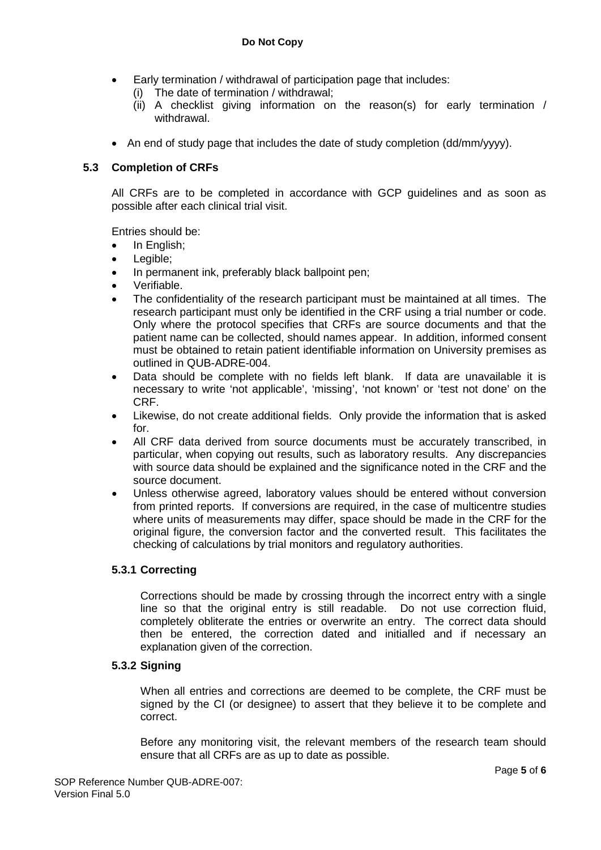- Early termination / withdrawal of participation page that includes:
	- The date of termination / withdrawal;
	- (ii) A checklist giving information on the reason(s) for early termination / withdrawal.
- An end of study page that includes the date of study completion (dd/mm/yyyy).

## **5.3 Completion of CRFs**

All CRFs are to be completed in accordance with GCP guidelines and as soon as possible after each clinical trial visit.

Entries should be:

- In English;
- Legible;
- In permanent ink, preferably black ballpoint pen;
- Verifiable.
- The confidentiality of the research participant must be maintained at all times. The research participant must only be identified in the CRF using a trial number or code. Only where the protocol specifies that CRFs are source documents and that the patient name can be collected, should names appear. In addition, informed consent must be obtained to retain patient identifiable information on University premises as outlined in QUB-ADRE-004.
- Data should be complete with no fields left blank. If data are unavailable it is necessary to write 'not applicable', 'missing', 'not known' or 'test not done' on the CRF.
- Likewise, do not create additional fields. Only provide the information that is asked for.
- All CRF data derived from source documents must be accurately transcribed, in particular, when copying out results, such as laboratory results. Any discrepancies with source data should be explained and the significance noted in the CRF and the source document.
- Unless otherwise agreed, laboratory values should be entered without conversion from printed reports. If conversions are required, in the case of multicentre studies where units of measurements may differ, space should be made in the CRF for the original figure, the conversion factor and the converted result. This facilitates the checking of calculations by trial monitors and regulatory authorities.

## **5.3.1 Correcting**

Corrections should be made by crossing through the incorrect entry with a single line so that the original entry is still readable. Do not use correction fluid, completely obliterate the entries or overwrite an entry. The correct data should then be entered, the correction dated and initialled and if necessary an explanation given of the correction.

## **5.3.2 Signing**

When all entries and corrections are deemed to be complete, the CRF must be signed by the CI (or designee) to assert that they believe it to be complete and correct.

Before any monitoring visit, the relevant members of the research team should ensure that all CRFs are as up to date as possible.